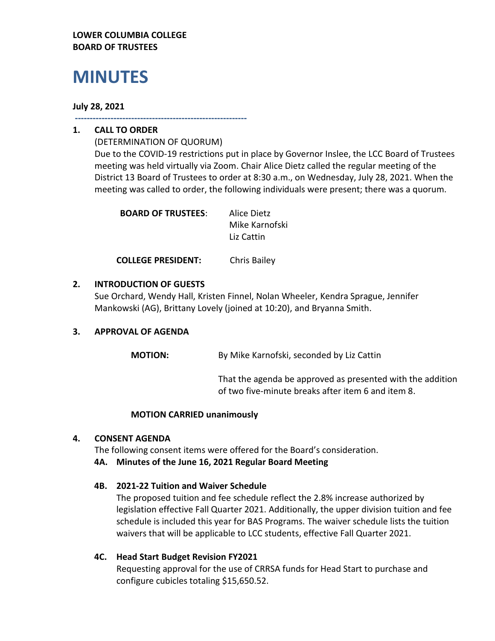## **LOWER COLUMBIA COLLEGE BOARD OF TRUSTEES**

# **MINUTES**

## **July 28, 2021**

**----------------------------------------------------------**

## **1. CALL TO ORDER**

(DETERMINATION OF QUORUM) Due to the COVID-19 restrictions put in place by Governor Inslee, the LCC Board of Trustees meeting was held virtually via Zoom. Chair Alice Dietz called the regular meeting of the District 13 Board of Trustees to order at 8:30 a.m., on Wednesday, July 28, 2021. When the meeting was called to order, the following individuals were present; there was a quorum.

| <b>BOARD OF TRUSTEES:</b> | Alice Dietz    |
|---------------------------|----------------|
|                           | Mike Karnofski |
|                           | Liz Cattin     |

**COLLEGE PRESIDENT:** Chris Bailey

## **2. INTRODUCTION OF GUESTS**

Sue Orchard, Wendy Hall, Kristen Finnel, Nolan Wheeler, Kendra Sprague, Jennifer Mankowski (AG), Brittany Lovely (joined at 10:20), and Bryanna Smith.

# **3. APPROVAL OF AGENDA**

**MOTION:** By Mike Karnofski, seconded by Liz Cattin

That the agenda be approved as presented with the addition of two five-minute breaks after item 6 and item 8.

## **MOTION CARRIED unanimously**

## **4. CONSENT AGENDA**

The following consent items were offered for the Board's consideration.

## **4A. Minutes of the June 16, 2021 Regular Board Meeting**

## **4B. 2021-22 Tuition and Waiver Schedule**

The proposed tuition and fee schedule reflect the 2.8% increase authorized by legislation effective Fall Quarter 2021. Additionally, the upper division tuition and fee schedule is included this year for BAS Programs. The waiver schedule lists the tuition waivers that will be applicable to LCC students, effective Fall Quarter 2021.

# **4C. Head Start Budget Revision FY2021**

Requesting approval for the use of CRRSA funds for Head Start to purchase and configure cubicles totaling \$15,650.52.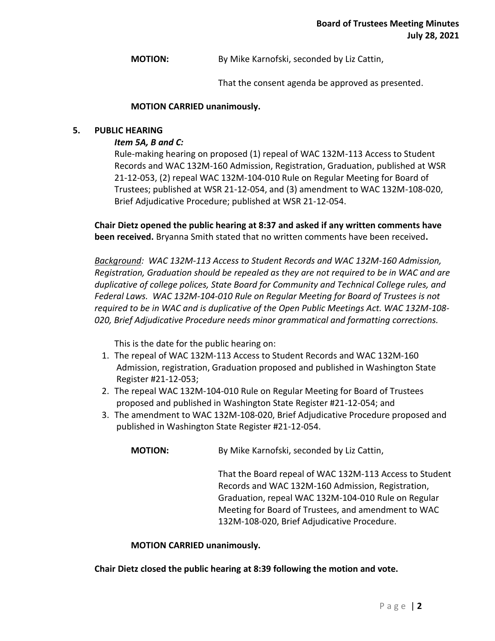**MOTION:** By Mike Karnofski, seconded by Liz Cattin,

That the consent agenda be approved as presented.

#### **MOTION CARRIED unanimously.**

#### **5. PUBLIC HEARING**

## *Item 5A, B and C:*

Rule-making hearing on proposed (1) repeal of WAC 132M-113 Access to Student Records and WAC 132M-160 Admission, Registration, Graduation, published at WSR 21-12-053, (2) repeal WAC 132M-104-010 Rule on Regular Meeting for Board of Trustees; published at WSR 21-12-054, and (3) amendment to WAC 132M-108-020, Brief Adjudicative Procedure; published at WSR 21-12-054.

**Chair Dietz opened the public hearing at 8:37 and asked if any written comments have been received.** Bryanna Smith stated that no written comments have been received**.** 

*Background: WAC 132M-113 Access to Student Records and WAC 132M-160 Admission, Registration, Graduation should be repealed as they are not required to be in WAC and are duplicative of college polices, State Board for Community and Technical College rules, and Federal Laws. WAC 132M-104-010 Rule on Regular Meeting for Board of Trustees is not required to be in WAC and is duplicative of the Open Public Meetings Act. WAC 132M-108- 020, Brief Adjudicative Procedure needs minor grammatical and formatting corrections.*

This is the date for the public hearing on:

- 1. The repeal of WAC 132M-113 Access to Student Records and WAC 132M-160 Admission, registration, Graduation proposed and published in Washington State Register #21-12-053;
- 2. The repeal WAC 132M-104-010 Rule on Regular Meeting for Board of Trustees proposed and published in Washington State Register #21-12-054; and
- 3. The amendment to WAC 132M-108-020, Brief Adjudicative Procedure proposed and published in Washington State Register #21-12-054.

**MOTION:** By Mike Karnofski, seconded by Liz Cattin,

That the Board repeal of WAC 132M-113 Access to Student Records and WAC 132M-160 Admission, Registration, Graduation, repeal WAC 132M-104-010 Rule on Regular Meeting for Board of Trustees, and amendment to WAC 132M-108-020, Brief Adjudicative Procedure.

#### **MOTION CARRIED unanimously.**

**Chair Dietz closed the public hearing at 8:39 following the motion and vote.**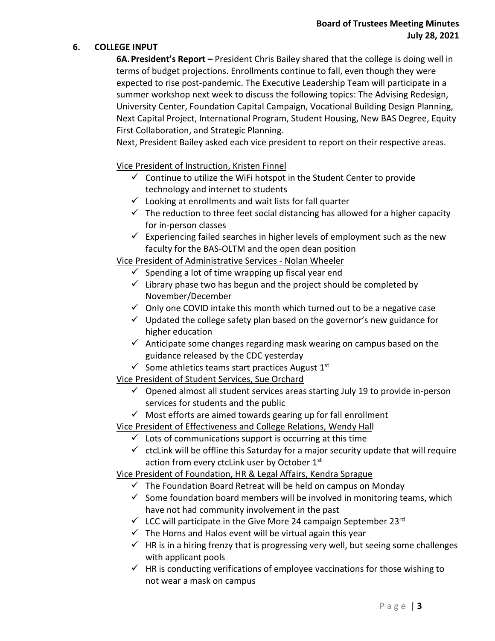# **Board of Trustees Meeting Minutes July 28, 2021**

#### **6. COLLEGE INPUT**

**6A.President's Report –** President Chris Bailey shared that the college is doing well in terms of budget projections. Enrollments continue to fall, even though they were expected to rise post-pandemic. The Executive Leadership Team will participate in a summer workshop next week to discuss the following topics: The Advising Redesign, University Center, Foundation Capital Campaign, Vocational Building Design Planning, Next Capital Project, International Program, Student Housing, New BAS Degree, Equity First Collaboration, and Strategic Planning.

Next, President Bailey asked each vice president to report on their respective areas.

#### Vice President of Instruction, Kristen Finnel

- $\checkmark$  Continue to utilize the WiFi hotspot in the Student Center to provide technology and internet to students
- $\checkmark$  Looking at enrollments and wait lists for fall quarter
- $\checkmark$  The reduction to three feet social distancing has allowed for a higher capacity for in-person classes
- $\checkmark$  Experiencing failed searches in higher levels of employment such as the new faculty for the BAS-OLTM and the open dean position

Vice President of Administrative Services - Nolan Wheeler

- $\checkmark$  Spending a lot of time wrapping up fiscal year end
- $\checkmark$  Library phase two has begun and the project should be completed by November/December
- $\checkmark$  Only one COVID intake this month which turned out to be a negative case
- $\checkmark$  Updated the college safety plan based on the governor's new guidance for higher education
- $\checkmark$  Anticipate some changes regarding mask wearing on campus based on the guidance released by the CDC yesterday
- $\checkmark$  Some athletics teams start practices August 1st

## Vice President of Student Services, Sue Orchard

- $\checkmark$  Opened almost all student services areas starting July 19 to provide in-person services for students and the public
- $\checkmark$  Most efforts are aimed towards gearing up for fall enrollment

## Vice President of Effectiveness and College Relations, Wendy Hall

- $\checkmark$  Lots of communications support is occurring at this time
- $\checkmark$  ctcLink will be offline this Saturday for a major security update that will require action from every ctcLink user by October 1<sup>st</sup>

## Vice President of Foundation, HR & Legal Affairs, Kendra Sprague

- $\checkmark$  The Foundation Board Retreat will be held on campus on Monday
- $\checkmark$  Some foundation board members will be involved in monitoring teams, which have not had community involvement in the past
- $\checkmark$  LCC will participate in the Give More 24 campaign September 23rd
- $\checkmark$  The Horns and Halos event will be virtual again this year
- $\checkmark$  HR is in a hiring frenzy that is progressing very well, but seeing some challenges with applicant pools
- $\checkmark$  HR is conducting verifications of employee vaccinations for those wishing to not wear a mask on campus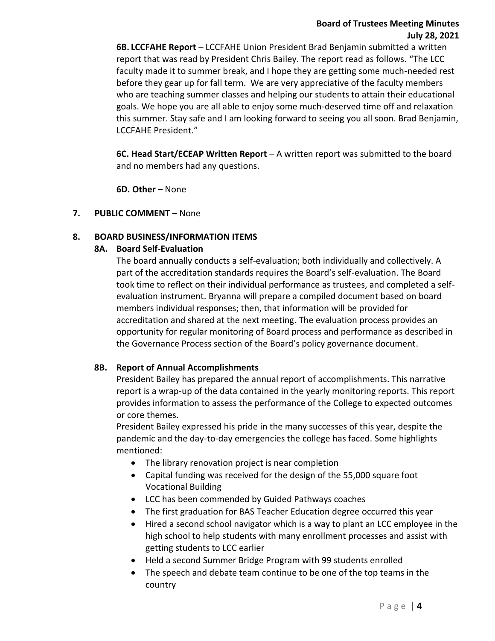## **Board of Trustees Meeting Minutes July 28, 2021**

**6B. LCCFAHE Report** – LCCFAHE Union President Brad Benjamin submitted a written report that was read by President Chris Bailey. The report read as follows. "The LCC faculty made it to summer break, and I hope they are getting some much-needed rest before they gear up for fall term. We are very appreciative of the faculty members who are teaching summer classes and helping our students to attain their educational goals. We hope you are all able to enjoy some much-deserved time off and relaxation this summer. Stay safe and I am looking forward to seeing you all soon. Brad Benjamin, LCCFAHE President."

**6C. Head Start/ECEAP Written Report** – A written report was submitted to the board and no members had any questions.

**6D. Other** – None

## **7. PUBLIC COMMENT –** None

## **8. BOARD BUSINESS/INFORMATION ITEMS**

#### **8A. Board Self-Evaluation**

The board annually conducts a self-evaluation; both individually and collectively. A part of the accreditation standards requires the Board's self-evaluation. The Board took time to reflect on their individual performance as trustees, and completed a selfevaluation instrument. Bryanna will prepare a compiled document based on board members individual responses; then, that information will be provided for accreditation and shared at the next meeting. The evaluation process provides an opportunity for regular monitoring of Board process and performance as described in the Governance Process section of the Board's policy governance document.

#### **8B. Report of Annual Accomplishments**

President Bailey has prepared the annual report of accomplishments. This narrative report is a wrap-up of the data contained in the yearly monitoring reports. This report provides information to assess the performance of the College to expected outcomes or core themes.

President Bailey expressed his pride in the many successes of this year, despite the pandemic and the day-to-day emergencies the college has faced. Some highlights mentioned:

- The library renovation project is near completion
- Capital funding was received for the design of the 55,000 square foot Vocational Building
- LCC has been commended by Guided Pathways coaches
- The first graduation for BAS Teacher Education degree occurred this year
- Hired a second school navigator which is a way to plant an LCC employee in the high school to help students with many enrollment processes and assist with getting students to LCC earlier
- Held a second Summer Bridge Program with 99 students enrolled
- The speech and debate team continue to be one of the top teams in the country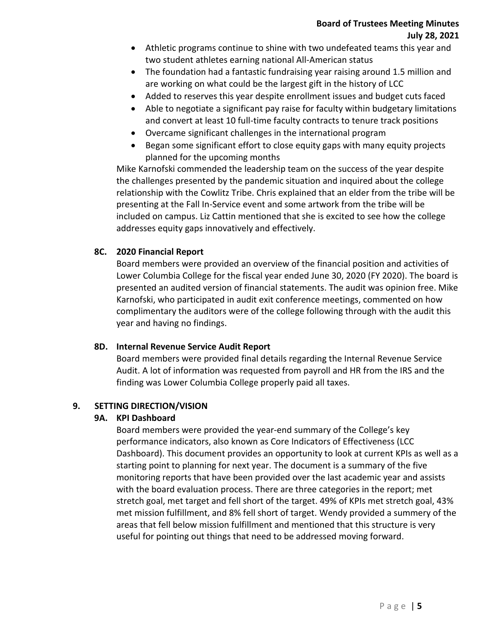- Athletic programs continue to shine with two undefeated teams this year and two student athletes earning national All-American status
- The foundation had a fantastic fundraising year raising around 1.5 million and are working on what could be the largest gift in the history of LCC
- Added to reserves this year despite enrollment issues and budget cuts faced
- Able to negotiate a significant pay raise for faculty within budgetary limitations and convert at least 10 full-time faculty contracts to tenure track positions
- Overcame significant challenges in the international program
- Began some significant effort to close equity gaps with many equity projects planned for the upcoming months

Mike Karnofski commended the leadership team on the success of the year despite the challenges presented by the pandemic situation and inquired about the college relationship with the Cowlitz Tribe. Chris explained that an elder from the tribe will be presenting at the Fall In-Service event and some artwork from the tribe will be included on campus. Liz Cattin mentioned that she is excited to see how the college addresses equity gaps innovatively and effectively.

# **8C. 2020 Financial Report**

Board members were provided an overview of the financial position and activities of Lower Columbia College for the fiscal year ended June 30, 2020 (FY 2020). The board is presented an audited version of financial statements. The audit was opinion free. Mike Karnofski, who participated in audit exit conference meetings, commented on how complimentary the auditors were of the college following through with the audit this year and having no findings.

# **8D. Internal Revenue Service Audit Report**

Board members were provided final details regarding the Internal Revenue Service Audit. A lot of information was requested from payroll and HR from the IRS and the finding was Lower Columbia College properly paid all taxes.

# **9. SETTING DIRECTION/VISION**

# **9A. KPI Dashboard**

Board members were provided the year-end summary of the College's key performance indicators, also known as Core Indicators of Effectiveness (LCC Dashboard). This document provides an opportunity to look at current KPIs as well as a starting point to planning for next year. The document is a summary of the five monitoring reports that have been provided over the last academic year and assists with the board evaluation process. There are three categories in the report; met stretch goal, met target and fell short of the target. 49% of KPIs met stretch goal, 43% met mission fulfillment, and 8% fell short of target. Wendy provided a summery of the areas that fell below mission fulfillment and mentioned that this structure is very useful for pointing out things that need to be addressed moving forward.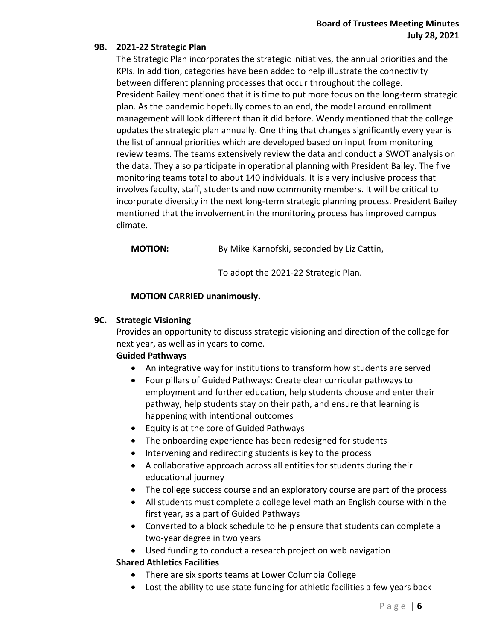## **9B. 2021-22 Strategic Plan**

The Strategic Plan incorporates the strategic initiatives, the annual priorities and the KPIs. In addition, categories have been added to help illustrate the connectivity between different planning processes that occur throughout the college. President Bailey mentioned that it is time to put more focus on the long-term strategic plan. As the pandemic hopefully comes to an end, the model around enrollment management will look different than it did before. Wendy mentioned that the college updates the strategic plan annually. One thing that changes significantly every year is the list of annual priorities which are developed based on input from monitoring review teams. The teams extensively review the data and conduct a SWOT analysis on the data. They also participate in operational planning with President Bailey. The five monitoring teams total to about 140 individuals. It is a very inclusive process that involves faculty, staff, students and now community members. It will be critical to incorporate diversity in the next long-term strategic planning process. President Bailey mentioned that the involvement in the monitoring process has improved campus climate.

**MOTION:** By Mike Karnofski, seconded by Liz Cattin,

To adopt the 2021-22 Strategic Plan.

## **MOTION CARRIED unanimously.**

## **9C. Strategic Visioning**

Provides an opportunity to discuss strategic visioning and direction of the college for next year, as well as in years to come.

# **Guided Pathways**

- An integrative way for institutions to transform how students are served
- Four pillars of Guided Pathways: Create clear curricular pathways to employment and further education, help students choose and enter their pathway, help students stay on their path, and ensure that learning is happening with intentional outcomes
- Equity is at the core of Guided Pathways
- The onboarding experience has been redesigned for students
- Intervening and redirecting students is key to the process
- A collaborative approach across all entities for students during their educational journey
- The college success course and an exploratory course are part of the process
- All students must complete a college level math an English course within the first year, as a part of Guided Pathways
- Converted to a block schedule to help ensure that students can complete a two-year degree in two years
- Used funding to conduct a research project on web navigation

# **Shared Athletics Facilities**

- There are six sports teams at Lower Columbia College
- Lost the ability to use state funding for athletic facilities a few years back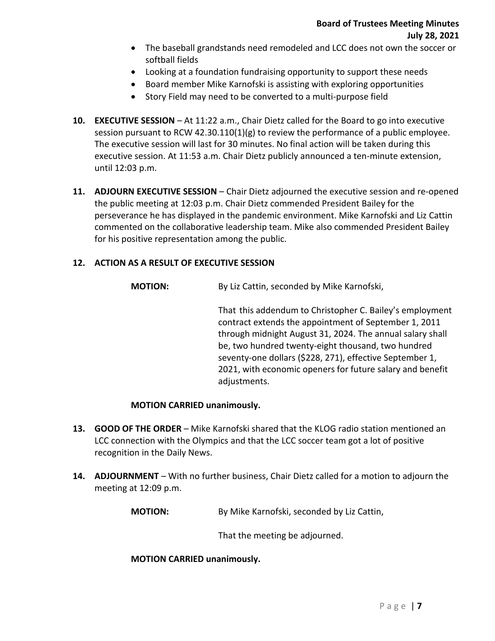- The baseball grandstands need remodeled and LCC does not own the soccer or softball fields
- Looking at a foundation fundraising opportunity to support these needs
- Board member Mike Karnofski is assisting with exploring opportunities
- Story Field may need to be converted to a multi-purpose field
- **10. EXECUTIVE SESSION** At 11:22 a.m., Chair Dietz called for the Board to go into executive session pursuant to RCW 42.30.110(1)(g) to review the performance of a public employee. The executive session will last for 30 minutes. No final action will be taken during this executive session. At 11:53 a.m. Chair Dietz publicly announced a ten-minute extension, until 12:03 p.m.
- **11. ADJOURN EXECUTIVE SESSION** Chair Dietz adjourned the executive session and re-opened the public meeting at 12:03 p.m. Chair Dietz commended President Bailey for the perseverance he has displayed in the pandemic environment. Mike Karnofski and Liz Cattin commented on the collaborative leadership team. Mike also commended President Bailey for his positive representation among the public.

## **12. ACTION AS A RESULT OF EXECUTIVE SESSION**

**MOTION:** By Liz Cattin, seconded by Mike Karnofski,

That this addendum to Christopher C. Bailey's employment contract extends the appointment of September 1, 2011 through midnight August 31, 2024. The annual salary shall be, two hundred twenty-eight thousand, two hundred seventy-one dollars (\$228, 271), effective September 1, 2021, with economic openers for future salary and benefit adjustments.

## **MOTION CARRIED unanimously.**

- **13. GOOD OF THE ORDER** Mike Karnofski shared that the KLOG radio station mentioned an LCC connection with the Olympics and that the LCC soccer team got a lot of positive recognition in the Daily News.
- **14. ADJOURNMENT** With no further business, Chair Dietz called for a motion to adjourn the meeting at 12:09 p.m.

**MOTION:** By Mike Karnofski, seconded by Liz Cattin,

That the meeting be adjourned.

**MOTION CARRIED unanimously.**